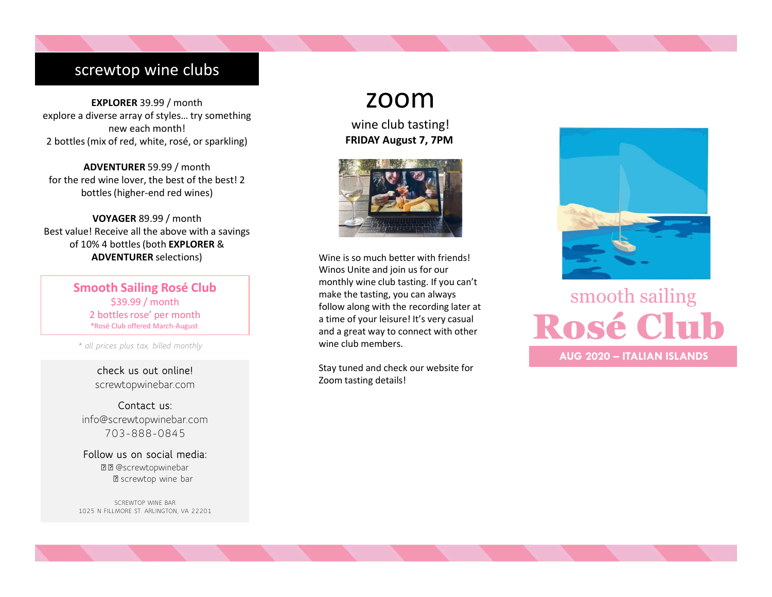# screwtop wine clubs

EXPLORER 39.99 / month explore a diverse array of styles… try something new each month! 2 bottles (mix of red, white, rosé, or sparkling)

ADVENTURER 59.99 / month for the red wine lover, the best of the best! 2 bottles (higher-end red wines)

VOYAGER 89.99 / month Best value! Receive all the above with a savings of 10% 4 bottles (both EXPLORER & ADVENTURER selections)

> Smooth Sailing Rosé Club \$39.99 / month 2 bottles rose' per month \*Rosé Club offered March-August

\* all prices plus tax, billed monthly

check us out online! screwtopwinebar.com

Contact us: info@screwtopwinebar.com 703-888-0845

Follow us on social media: **B** screwtop wine bar

SCREWTOP WINE BAR 1025 N FILLMORE ST. ARLINGTON, VA 22201

# zoom

wine club tasting! FRIDAY August 7, 7PM



Exercise all the above with a savings<br>
4 bottles (both **EXPLORER &**<br>
4 bottles (both **EXPLORER &**<br>
Wine is so much better wit<br>
Wines Unite and join us for<br>
53.9.9 / month<br>
53.99 / month<br>
53.99 / month<br>
53.99 / month<br>
53.99 Wine is so much better with friends! Winos Unite and join us for our monthly wine club tasting. If you can't make the tasting, you can always a time of your leisure! It's very casual and a great way to connect with other wine club members.

Stay tuned and check our website for Zoom tasting details!



# follow along with the recording later at<br>a time of your leisure! It's very casual<br>and a great way to connect with other<br>wine club members smooth sailing